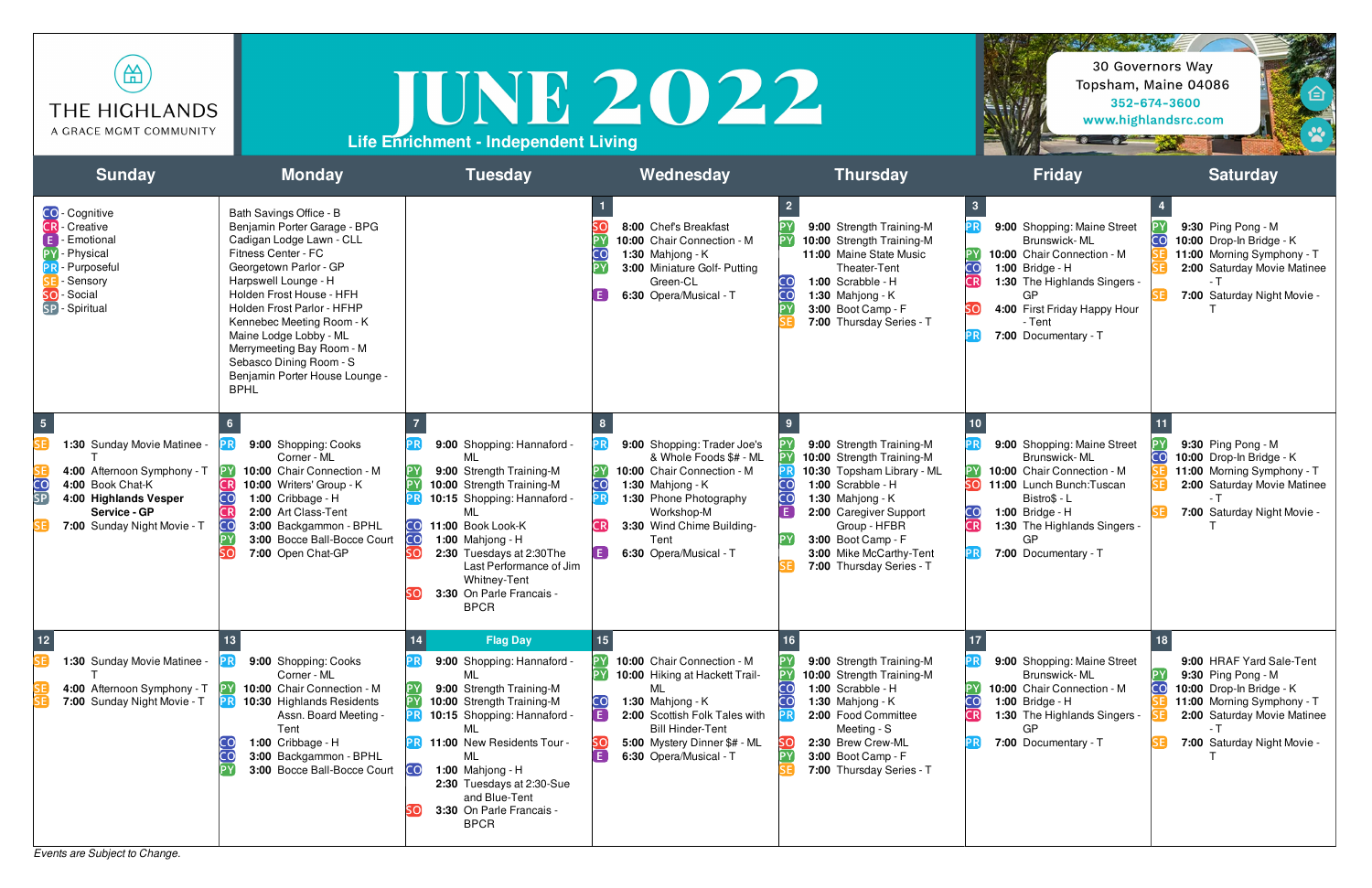*Events are Subject to Change.*





| 쓺<br>THE HIGHLANDS<br>A GRACE MGMT COMMUNITY                                                                                                                                            |                                                                                                                                                                                                                                                                                                                                                                                        | <b>Life Enrichment - Independent Living</b>                                                                                                                                                                                                                                                                | IUNE 2022                                                                                                                                                                                                                    |                                                                                                                                                                                                                                                     |                                                                                                                                                                                                                                       | 30 Governors Way<br>Topsham, Maine 04086<br>352-674-3600<br>www.highlandsrc.com                                                                                                    |
|-----------------------------------------------------------------------------------------------------------------------------------------------------------------------------------------|----------------------------------------------------------------------------------------------------------------------------------------------------------------------------------------------------------------------------------------------------------------------------------------------------------------------------------------------------------------------------------------|------------------------------------------------------------------------------------------------------------------------------------------------------------------------------------------------------------------------------------------------------------------------------------------------------------|------------------------------------------------------------------------------------------------------------------------------------------------------------------------------------------------------------------------------|-----------------------------------------------------------------------------------------------------------------------------------------------------------------------------------------------------------------------------------------------------|---------------------------------------------------------------------------------------------------------------------------------------------------------------------------------------------------------------------------------------|------------------------------------------------------------------------------------------------------------------------------------------------------------------------------------|
| <b>Sunday</b>                                                                                                                                                                           | <b>Monday</b>                                                                                                                                                                                                                                                                                                                                                                          | <b>Tuesday</b>                                                                                                                                                                                                                                                                                             | Wednesday                                                                                                                                                                                                                    | <b>Thursday</b>                                                                                                                                                                                                                                     | <b>Friday</b>                                                                                                                                                                                                                         | <b>Saturday</b>                                                                                                                                                                    |
| <b>CO</b> - Cognitive<br><b>CR</b> - Creative<br>- Emotional<br>- Physical<br><b>B</b> -Purposeful<br>- Sensory<br>SO-Social<br>SP - Spiritual                                          | Bath Savings Office - B<br>Benjamin Porter Garage - BPG<br>Cadigan Lodge Lawn - CLL<br>Fitness Center - FC<br>Georgetown Parlor - GP<br>Harpswell Lounge - H<br>Holden Frost House - HFH<br>Holden Frost Parlor - HFHP<br>Kennebec Meeting Room - K<br>Maine Lodge Lobby - ML<br>Merrymeeting Bay Room - M<br>Sebasco Dining Room - S<br>Benjamin Porter House Lounge -<br><b>BPHL</b> |                                                                                                                                                                                                                                                                                                            | 8:00 Chef's Breakfast<br>10:00 Chair Connection - M<br>1:30 Mahjong - $K$<br>3:00 Miniature Golf- Putting<br>Green-CL<br>6:30 Opera/Musical - T                                                                              | 9:00 Strength Training-M<br>10:00 Strength Training-M<br>11:00 Maine State Music<br>Theater-Tent<br>1:00 Scrabble - H<br>CO<br>1:30 Mahjong - $K$<br>3:00 Boot Camp - F<br>7:00 Thursday Series - T                                                 | 9:00 Shopping: Maine Street<br>Brunswick-ML<br>10:00 Chair Connection - M<br>CO<br><b>1:00 Bridge - H</b><br><b>CR</b><br>1:30 The Highlands Singers -<br>GP.<br>4:00 First Friday Happy Hour<br>SO<br>- Tent<br>7:00 Documentary - T | 9:30 Ping Pong - M<br>CO<br>10:00 Drop-In Bridge - K<br>11:00 Morning Symphony - T<br>2:00 Saturday Movie Matinee<br>7:00 Saturday Night Movie -                                   |
| 1:30 Sunday Movie Matinee -<br>4:00 Afternoon Symphony - T<br>$\overline{\mathbf{C}}$<br>4:00 Book Chat-K<br>SP<br>4:00 Highlands Vesper<br>Service - GP<br>7:00 Sunday Night Movie - T | 9:00 Shopping: Cooks<br>Corner - ML<br>10:00 Chair Connection - M<br>10:00 Writers' Group - K<br>1:00 Cribbage - H<br>2:00 Art Class-Tent<br>3:00 Backgammon - BPHL<br>CO.<br><b>3:00</b> Bocce Ball-Bocce Court<br>7:00 Open Chat-GP                                                                                                                                                  | 9:00 Shopping: Hannaford -<br>ML<br>9:00 Strength Training-M<br>10:00 Strength Training-M<br>10:15 Shopping: Hannaford -<br>ML<br>CO 11:00 Book Look-K<br>CO<br><b>1:00</b> Mahjong - H<br>2:30 Tuesdays at 2:30The<br>Last Performance of Jim<br>Whitney-Tent<br>3:30 On Parle Francais -<br><b>BPCR</b>  | 9:00 Shopping: Trader Joe's<br>& Whole Foods \$# - ML<br>10:00 Chair Connection - M<br>CO<br>1:30 Mahjong - $K$<br>1:30 Phone Photography<br>Workshop-M<br>3:30 Wind Chime Building-<br>Tent<br>E.<br>6:30 Opera/Musical - T | 9:00 Strength Training-M<br>10:00 Strength Training-M<br>10:30 Topsham Library - ML<br>1:00 Scrabble - H<br>1:30 Mahjong - K<br>2:00 Caregiver Support<br>Group - HFBR<br>3:00 Boot Camp - F<br>3:00 Mike McCarthy-Tent<br>7:00 Thursday Series - T | 9:00 Shopping: Maine Street<br>Brunswick-ML<br>10:00 Chair Connection - M<br>SO.<br>11:00 Lunch Bunch: Tuscan<br>Bistro\$ - L<br>1:00 Bridge - H<br>CR<br>1:30 The Highlands Singers -<br>GP.<br>7:00 Documentary - T                 | 9:30 Ping Pong - M<br>CO<br>10:00 Drop-In Bridge - K<br>11:00 Morning Symphony - T<br>2:00 Saturday Movie Matinee<br>7:00 Saturday Night Movie -                                   |
| 1:30 Sunday Movie Matinee -<br>4:00 Afternoon Symphony - T<br>7:00 Sunday Night Movie - T                                                                                               | 9:00 Shopping: Cooks<br>Corner - ML<br>10:00 Chair Connection - M<br>10:30 Highlands Residents<br>Assn. Board Meeting -<br>Tent<br>1:00 Cribbage - H<br>3:00 Backgammon - BPHL<br>3:00 Bocce Ball-Bocce Court CO                                                                                                                                                                       | <b>Flag Day</b><br>14<br>9:00 Shopping: Hannaford -<br>ML<br>9:00 Strength Training-M<br>10:00 Strength Training-M<br>10:15 Shopping: Hannaford -<br>MI<br>11:00 New Residents Tour -<br>МL<br>1:00 Mahjong - $H$<br>2:30 Tuesdays at 2:30-Sue<br>and Blue-Tent<br>3:30 On Parle Francais -<br><b>BPCR</b> | 10:00 Chair Connection - M<br>10:00 Hiking at Hackett Trail-<br>ML<br>1:30 Mahjong - K<br>E<br>2:00 Scottish Folk Tales with<br><b>Bill Hinder-Tent</b><br>5:00 Mystery Dinner \$# - ML<br>E.<br>6:30 Opera/Musical - T      | 9:00 Strength Training-M<br>10:00 Strength Training-M<br>1:00 Scrabble - H<br>1:30 Mahjong - $K$<br>2:00 Food Committee<br>Meeting - S<br>2:30 Brew Crew-ML<br>3:00 Boot Camp - F<br>7:00 Thursday Series - T                                       | 9:00 Shopping: Maine Street<br>Brunswick-ML<br>10:00 Chair Connection - M<br><b>1:00 Bridge - H</b><br><b>CR</b><br>1:30 The Highlands Singers -<br>GP<br>7:00 Documentary - T                                                        | 9:00 HRAF Yard Sale-Tent<br>PΥ<br>9:30 Ping Pong - M<br>CO<br>10:00 Drop-In Bridge - K<br>11:00 Morning Symphony - T<br>2:00 Saturday Movie Matinee<br>7:00 Saturday Night Movie - |